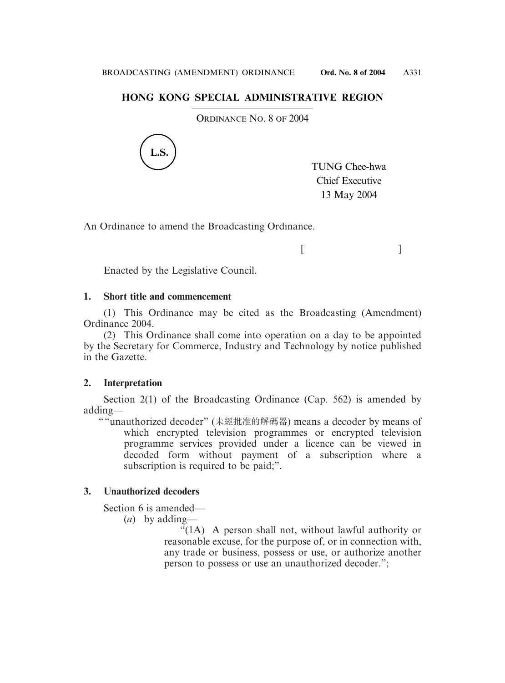# **HONG KONG SPECIAL ADMINISTRATIVE REGION**

ORDINANCE NO. 8 OF 2004



TUNG Chee-hwa Chief Executive 13 May 2004

 $[$   $]$ 

An Ordinance to amend the Broadcasting Ordinance.

Enacted by the Legislative Council.

# **1. Short title and commencement**

(1) This Ordinance may be cited as the Broadcasting (Amendment) Ordinance 2004.

(2) This Ordinance shall come into operation on a day to be appointed by the Secretary for Commerce, Industry and Technology by notice published in the Gazette.

# **2. Interpretation**

Section 2(1) of the Broadcasting Ordinance (Cap. 562) is amended by adding—

""unauthorized decoder" (未經批准的解碼器) means a decoder by means of which encrypted television programmes or encrypted television programme services provided under a licence can be viewed in decoded form without payment of a subscription where a subscription is required to be paid;".

# **3. Unauthorized decoders**

Section 6 is amended—

(*a*) by adding—

"(1A) A person shall not, without lawful authority or reasonable excuse, for the purpose of, or in connection with, any trade or business, possess or use, or authorize another person to possess or use an unauthorized decoder.";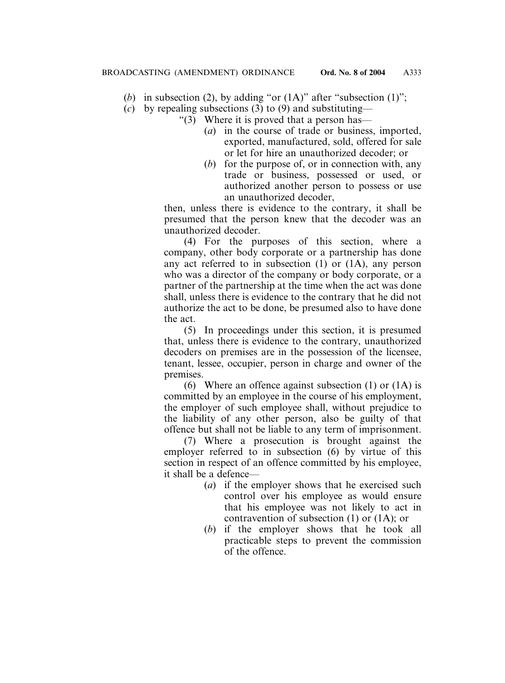- (*b*) in subsection (2), by adding "or  $(1A)$ " after "subsection  $(1)$ ";
- (*c*) by repealing subsections (3) to (9) and substituting—
	- " $(3)$  Where it is proved that a person has—
		- (*a*) in the course of trade or business, imported, exported, manufactured, sold, offered for sale or let for hire an unauthorized decoder; or
		- (*b*) for the purpose of, or in connection with, any trade or business, possessed or used, or authorized another person to possess or use an unauthorized decoder,

then, unless there is evidence to the contrary, it shall be presumed that the person knew that the decoder was an unauthorized decoder.

(4) For the purposes of this section, where a company, other body corporate or a partnership has done any act referred to in subsection (1) or (1A), any person who was a director of the company or body corporate, or a partner of the partnership at the time when the act was done shall, unless there is evidence to the contrary that he did not authorize the act to be done, be presumed also to have done the act.

(5) In proceedings under this section, it is presumed that, unless there is evidence to the contrary, unauthorized decoders on premises are in the possession of the licensee, tenant, lessee, occupier, person in charge and owner of the premises.

(6) Where an offence against subsection  $(1)$  or  $(1A)$  is committed by an employee in the course of his employment, the employer of such employee shall, without prejudice to the liability of any other person, also be guilty of that offence but shall not be liable to any term of imprisonment.

(7) Where a prosecution is brought against the employer referred to in subsection (6) by virtue of this section in respect of an offence committed by his employee, it shall be a defence—

- (*a*) if the employer shows that he exercised such control over his employee as would ensure that his employee was not likely to act in contravention of subsection (1) or (1A); or
- (*b*) if the employer shows that he took all practicable steps to prevent the commission of the offence.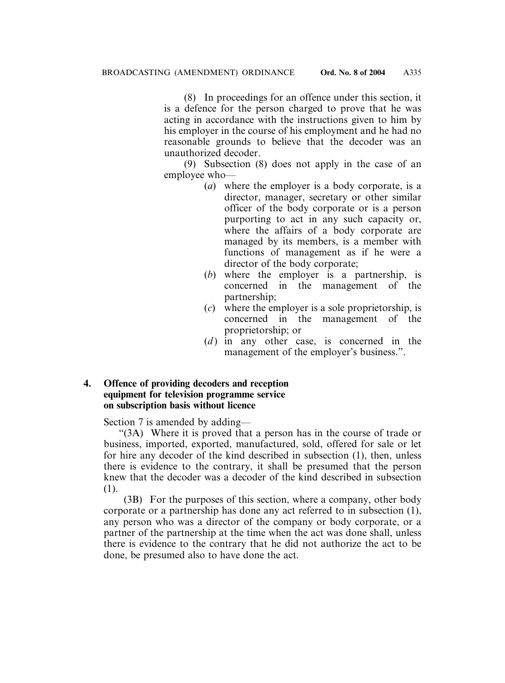(8) In proceedings for an offence under this section, it is a defence for the person charged to prove that he was acting in accordance with the instructions given to him by his employer in the course of his employment and he had no reasonable grounds to believe that the decoder was an unauthorized decoder.

(9) Subsection (8) does not apply in the case of an employee who—

- (*a*) where the employer is a body corporate, is a director, manager, secretary or other similar officer of the body corporate or is a person purporting to act in any such capacity or, where the affairs of a body corporate are managed by its members, is a member with functions of management as if he were a director of the body corporate;
- (*b*) where the employer is a partnership, is concerned in the management of the partnership;
- (*c*) where the employer is a sole proprietorship, is concerned in the management of the proprietorship; or
- (*d*) in any other case, is concerned in the management of the employer's business.".

### **4. Offence of providing decoders and reception equipment for television programme service on subscription basis without licence**

Section 7 is amended by adding—

"(3A) Where it is proved that a person has in the course of trade or business, imported, exported, manufactured, sold, offered for sale or let for hire any decoder of the kind described in subsection (1), then, unless there is evidence to the contrary, it shall be presumed that the person knew that the decoder was a decoder of the kind described in subsection (1).

(3B) For the purposes of this section, where a company, other body corporate or a partnership has done any act referred to in subsection (1), any person who was a director of the company or body corporate, or a partner of the partnership at the time when the act was done shall, unless there is evidence to the contrary that he did not authorize the act to be done, be presumed also to have done the act.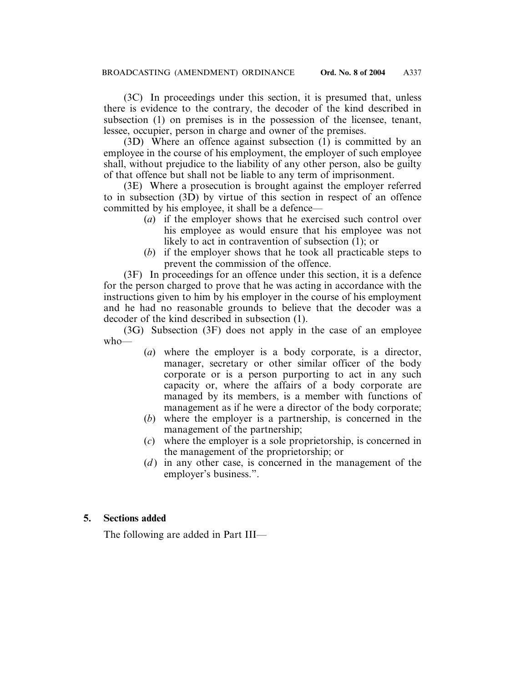(3C) In proceedings under this section, it is presumed that, unless there is evidence to the contrary, the decoder of the kind described in subsection (1) on premises is in the possession of the licensee, tenant, lessee, occupier, person in charge and owner of the premises.

(3D) Where an offence against subsection (1) is committed by an employee in the course of his employment, the employee of such employee shall, without prejudice to the liability of any other person, also be guilty of that offence but shall not be liable to any term of imprisonment.

(3E) Where a prosecution is brought against the employer referred to in subsection (3D) by virtue of this section in respect of an offence committed by his employee, it shall be a defence—

- (*a*) if the employer shows that he exercised such control over his employee as would ensure that his employee was not likely to act in contravention of subsection (1); or
- (*b*) if the employer shows that he took all practicable steps to prevent the commission of the offence.

(3F) In proceedings for an offence under this section, it is a defence for the person charged to prove that he was acting in accordance with the instructions given to him by his employer in the course of his employment and he had no reasonable grounds to believe that the decoder was a decoder of the kind described in subsection (1).

(3G) Subsection (3F) does not apply in the case of an employee who—

- (*a*) where the employer is a body corporate, is a director, manager, secretary or other similar officer of the body corporate or is a person purporting to act in any such capacity or, where the affairs of a body corporate are managed by its members, is a member with functions of management as if he were a director of the body corporate;
- (*b*) where the employer is a partnership, is concerned in the management of the partnership;
- (*c*) where the employer is a sole proprietorship, is concerned in the management of the proprietorship; or
- (*d*) in any other case, is concerned in the management of the employer's business.".

### **5. Sections added**

The following are added in Part III—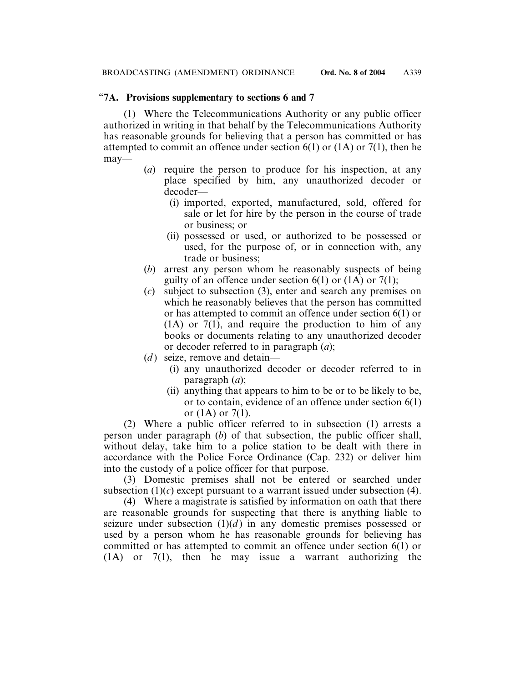### "**7A. Provisions supplementary to sections 6 and 7**

(1) Where the Telecommunications Authority or any public officer authorized in writing in that behalf by the Telecommunications Authority has reasonable grounds for believing that a person has committed or has attempted to commit an offence under section  $6(1)$  or  $(1A)$  or  $7(1)$ , then he may—

- (*a*) require the person to produce for his inspection, at any place specified by him, any unauthorized decoder or decoder—
	- (i) imported, exported, manufactured, sold, offered for sale or let for hire by the person in the course of trade or business; or
	- (ii) possessed or used, or authorized to be possessed or used, for the purpose of, or in connection with, any trade or business;
- (*b*) arrest any person whom he reasonably suspects of being guilty of an offence under section  $6(1)$  or  $(1)$  or  $7(1)$ ;
- (*c*) subject to subsection (3), enter and search any premises on which he reasonably believes that the person has committed or has attempted to commit an offence under section 6(1) or  $(1A)$  or  $7(1)$ , and require the production to him of any books or documents relating to any unauthorized decoder or decoder referred to in paragraph (*a*);
- (*d*) seize, remove and detain—
	- (i) any unauthorized decoder or decoder referred to in paragraph (*a*);
	- (ii) anything that appears to him to be or to be likely to be, or to contain, evidence of an offence under section 6(1) or  $(1A)$  or  $7(1)$ .

(2) Where a public officer referred to in subsection (1) arrests a person under paragraph (*b*) of that subsection, the public officer shall, without delay, take him to a police station to be dealt with there in accordance with the Police Force Ordinance (Cap. 232) or deliver him into the custody of a police officer for that purpose.

(3) Domestic premises shall not be entered or searched under subsection  $(1)(c)$  except pursuant to a warrant issued under subsection  $(4)$ .

(4) Where a magistrate is satisfied by information on oath that there are reasonable grounds for suspecting that there is anything liable to seizure under subsection  $(1)(d)$  in any domestic premises possessed or used by a person whom he has reasonable grounds for believing has committed or has attempted to commit an offence under section 6(1) or (1A) or 7(1), then he may issue a warrant authorizing the